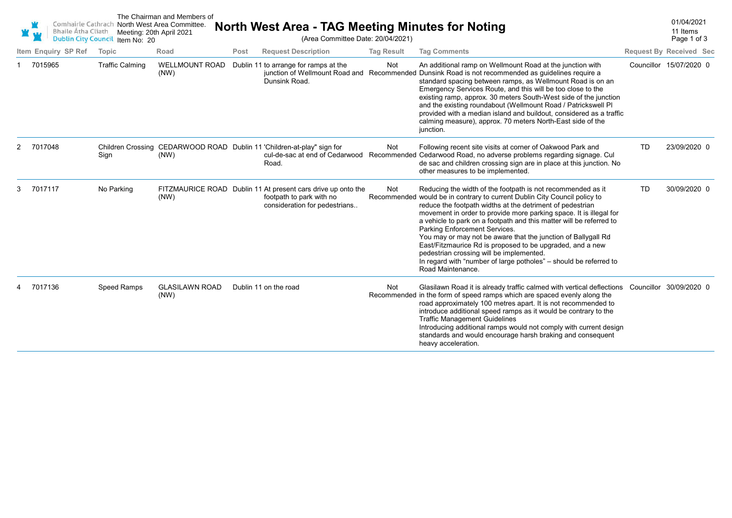|    | <b>Bhaile Átha Cliath</b><br><b>Dublin City Council</b> | Comhairle Cathrach North West Area Committee.<br>Meeting: 20th April 2021<br>Item No: 20 | The Chairman and Members of   |      | (Area Committee Date: 20/04/2021)                                                                                         | North West Area - TAG Meeting Minutes for Noting |                                                                                                                                                                                                                                                                                                                                                                                                                                                                                                                                                                                                                                                         |           | 01/04/2021<br>11 Items<br>Page 1 of 3 |
|----|---------------------------------------------------------|------------------------------------------------------------------------------------------|-------------------------------|------|---------------------------------------------------------------------------------------------------------------------------|--------------------------------------------------|---------------------------------------------------------------------------------------------------------------------------------------------------------------------------------------------------------------------------------------------------------------------------------------------------------------------------------------------------------------------------------------------------------------------------------------------------------------------------------------------------------------------------------------------------------------------------------------------------------------------------------------------------------|-----------|---------------------------------------|
|    | Item Enquiry SP Ref                                     | Topic                                                                                    | Road                          | Post | <b>Request Description</b>                                                                                                | <b>Tag Result</b>                                | <b>Tag Comments</b>                                                                                                                                                                                                                                                                                                                                                                                                                                                                                                                                                                                                                                     |           | <b>Request By Received Sec</b>        |
|    | 7015965                                                 | <b>Traffic Calming</b>                                                                   | <b>WELLMOUNT ROAD</b><br>(NW) |      | Dublin 11 to arrange for ramps at the<br>Dunsink Road.                                                                    | Not                                              | An additional ramp on Wellmount Road at the junction with<br>junction of Wellmount Road and Recommended Dunsink Road is not recommended as guidelines require a<br>standard spacing between ramps, as Wellmount Road is on an<br>Emergency Services Route, and this will be too close to the<br>existing ramp, approx. 30 meters South-West side of the junction<br>and the existing roundabout (Wellmount Road / Patrickswell PI<br>provided with a median island and buildout, considered as a traffic<br>calming measure), approx. 70 meters North-East side of the<br>junction.                                                                     |           | Councillor 15/07/2020 0               |
| 2. | 7017048                                                 | Sign                                                                                     | (NW)                          |      | Children Crossing CEDARWOOD ROAD Dublin 11 'Children-at-play" sign for<br>cul-de-sac at end of Cedarwood<br>Road.         | Not                                              | Following recent site visits at corner of Oakwood Park and<br>Recommended Cedarwood Road, no adverse problems regarding signage. Cul<br>de sac and children crossing sign are in place at this junction. No<br>other measures to be implemented.                                                                                                                                                                                                                                                                                                                                                                                                        | <b>TD</b> | 23/09/2020 0                          |
| 3  | 7017117                                                 | No Parking                                                                               | (NW)                          |      | FITZMAURICE ROAD Dublin 11 At present cars drive up onto the<br>footpath to park with no<br>consideration for pedestrians | Not                                              | Reducing the width of the footpath is not recommended as it<br>Recommended would be in contrary to current Dublin City Council policy to<br>reduce the footpath widths at the detriment of pedestrian<br>movement in order to provide more parking space. It is illegal for<br>a vehicle to park on a footpath and this matter will be referred to<br>Parking Enforcement Services.<br>You may or may not be aware that the junction of Ballygall Rd<br>East/Fitzmaurice Rd is proposed to be upgraded, and a new<br>pedestrian crossing will be implemented.<br>In regard with "number of large potholes" - should be referred to<br>Road Maintenance. | <b>TD</b> | 30/09/2020 0                          |
|    | 7017136                                                 | Speed Ramps                                                                              | <b>GLASILAWN ROAD</b><br>(NW) |      | Dublin 11 on the road                                                                                                     | Not                                              | Glasilawn Road it is already traffic calmed with vertical deflections  Councillor  30/09/2020  0<br>Recommended in the form of speed ramps which are spaced evenly along the<br>road approximately 100 metres apart. It is not recommended to<br>introduce additional speed ramps as it would be contrary to the<br><b>Traffic Management Guidelines</b><br>Introducing additional ramps would not comply with current design<br>standards and would encourage harsh braking and consequent<br>heavy acceleration.                                                                                                                                      |           |                                       |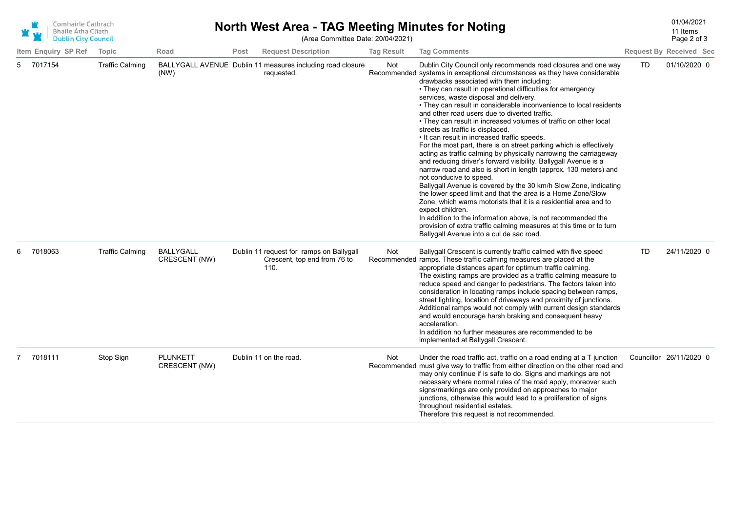| Comhairle Cathrach<br><b>Bhaile Átha Cliath</b><br><b>Dublin City Council</b> |                     |                        | North West Area - TAG Meeting Minutes for Noting<br>(Area Committee Date: 20/04/2021) |      |                                                                                  |                   |                                                                                                                                                                                                                                                                                                                                                                                                                                                                                                                                                                                                                                                                                                                                                                                                                                                                                                                                                                                                                                                                                                                                                                                                                                                                                                             |    | 01/04/2021<br>11 Items<br>Page 2 of 3 |  |
|-------------------------------------------------------------------------------|---------------------|------------------------|---------------------------------------------------------------------------------------|------|----------------------------------------------------------------------------------|-------------------|-------------------------------------------------------------------------------------------------------------------------------------------------------------------------------------------------------------------------------------------------------------------------------------------------------------------------------------------------------------------------------------------------------------------------------------------------------------------------------------------------------------------------------------------------------------------------------------------------------------------------------------------------------------------------------------------------------------------------------------------------------------------------------------------------------------------------------------------------------------------------------------------------------------------------------------------------------------------------------------------------------------------------------------------------------------------------------------------------------------------------------------------------------------------------------------------------------------------------------------------------------------------------------------------------------------|----|---------------------------------------|--|
|                                                                               | Item Enquiry SP Ref | Topic                  | Road                                                                                  | Post | <b>Request Description</b>                                                       | <b>Tag Result</b> | <b>Tag Comments</b>                                                                                                                                                                                                                                                                                                                                                                                                                                                                                                                                                                                                                                                                                                                                                                                                                                                                                                                                                                                                                                                                                                                                                                                                                                                                                         |    | <b>Request By Received Sec</b>        |  |
| 5                                                                             | 7017154             | <b>Traffic Calming</b> | (NW)                                                                                  |      | BALLYGALL AVENUE Dublin 11 measures including road closure<br>requested.         | Not               | Dublin City Council only recommends road closures and one way<br>Recommended systems in exceptional circumstances as they have considerable<br>drawbacks associated with them including:<br>• They can result in operational difficulties for emergency<br>services, waste disposal and delivery.<br>• They can result in considerable inconvenience to local residents<br>and other road users due to diverted traffic.<br>• They can result in increased volumes of traffic on other local<br>streets as traffic is displaced.<br>• It can result in increased traffic speeds.<br>For the most part, there is on street parking which is effectively<br>acting as traffic calming by physically narrowing the carriageway<br>and reducing driver's forward visibility. Ballygall Avenue is a<br>narrow road and also is short in length (approx. 130 meters) and<br>not conducive to speed.<br>Ballygall Avenue is covered by the 30 km/h Slow Zone, indicating<br>the lower speed limit and that the area is a Home Zone/Slow<br>Zone, which warns motorists that it is a residential area and to<br>expect children.<br>In addition to the information above, is not recommended the<br>provision of extra traffic calming measures at this time or to turn<br>Ballygall Avenue into a cul de sac road. | TD | 01/10/2020 0                          |  |
| 6                                                                             | 7018063             | <b>Traffic Calming</b> | <b>BALLYGALL</b><br>CRESCENT (NW)                                                     |      | Dublin 11 request for ramps on Ballygall<br>Crescent, top end from 76 to<br>110. | Not               | Ballygall Crescent is currently traffic calmed with five speed<br>Recommended ramps. These traffic calming measures are placed at the<br>appropriate distances apart for optimum traffic calming.<br>The existing ramps are provided as a traffic calming measure to<br>reduce speed and danger to pedestrians. The factors taken into<br>consideration in locating ramps include spacing between ramps,<br>street lighting, location of driveways and proximity of junctions.<br>Additional ramps would not comply with current design standards<br>and would encourage harsh braking and consequent heavy<br>acceleration.<br>In addition no further measures are recommended to be<br>implemented at Ballygall Crescent.                                                                                                                                                                                                                                                                                                                                                                                                                                                                                                                                                                                 | TD | 24/11/2020 0                          |  |
|                                                                               | 7018111             | Stop Sign              | <b>PLUNKETT</b><br>CRESCENT (NW)                                                      |      | Dublin 11 on the road.                                                           | Not               | Under the road traffic act, traffic on a road ending at a T junction<br>Recommended must give way to traffic from either direction on the other road and<br>may only continue if is safe to do. Signs and markings are not<br>necessary where normal rules of the road apply, moreover such<br>signs/markings are only provided on approaches to major<br>junctions, otherwise this would lead to a proliferation of signs<br>throughout residential estates.<br>Therefore this request is not recommended.                                                                                                                                                                                                                                                                                                                                                                                                                                                                                                                                                                                                                                                                                                                                                                                                 |    | Councillor 26/11/2020 0               |  |